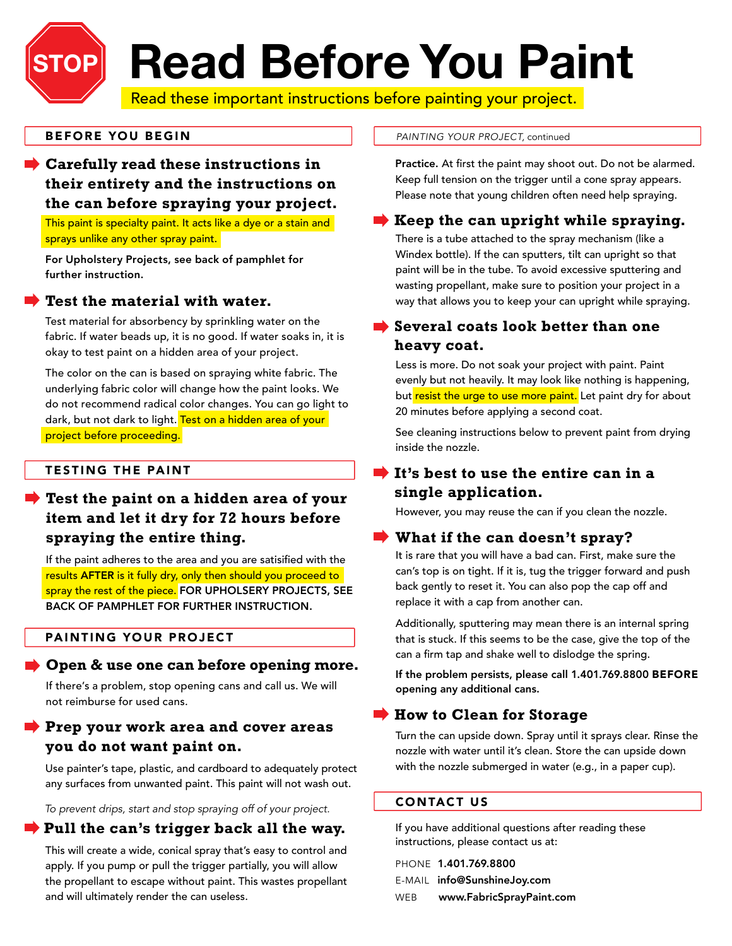# **Read Before You Paint**

Read these important instructions before painting your project.

#### **BEFORE YOU BEGIN**

**STOP**

## **Carefully read these instructions in their entirety and the instructions on the can before spraying your project.**

This paint is specialty paint. It acts like a dye or a stain and sprays unlike any other spray paint.

For Upholstery Projects, see back of pamphlet for further instruction.

#### **Test the material with water.**

Test material for absorbency by sprinkling water on the fabric. If water beads up, it is no good. If water soaks in, it is okay to test paint on a hidden area of your project.

The color on the can is based on spraying white fabric. The underlying fabric color will change how the paint looks. We do not recommend radical color changes. You can go light to dark, but not dark to light. Test on a hidden area of your project before proceeding.

#### **TESTING THE PAINT**

## **Test the paint on a hidden area of your item and let it dry for 72 hours before spraying the entire thing.**

If the paint adheres to the area and you are satisified with the results AFTER is it fully dry, only then should you proceed to spray the rest of the piece. FOR UPHOLSERY PROJECTS, SEE BACK OF PAMPHLET FOR FURTHER INSTRUCTION.

#### PAINTING YOUR PROJECT

#### **Open & use one can before opening more.**

If there's a problem, stop opening cans and call us. We will not reimburse for used cans.

## **Prep your work area and cover areas you do not want paint on.**

Use painter's tape, plastic, and cardboard to adequately protect any surfaces from unwanted paint. This paint will not wash out.

*To prevent drips, start and stop spraying off of your project.*

#### **Pull the can's trigger back all the way.**

This will create a wide, conical spray that's easy to control and apply. If you pump or pull the trigger partially, you will allow the propellant to escape without paint. This wastes propellant and will ultimately render the can useless.

#### *PAINTING YOUR PROJECT,* continued

Practice. At first the paint may shoot out. Do not be alarmed. Keep full tension on the trigger until a cone spray appears. Please note that young children often need help spraying.

#### **Keep the can upright while spraying.**

There is a tube attached to the spray mechanism (like a Windex bottle). If the can sputters, tilt can upright so that paint will be in the tube. To avoid excessive sputtering and wasting propellant, make sure to position your project in a way that allows you to keep your can upright while spraying.

### **Several coats look better than one heavy coat.**

Less is more. Do not soak your project with paint. Paint evenly but not heavily. It may look like nothing is happening, but resist the urge to use more paint. Let paint dry for about 20 minutes before applying a second coat.

See cleaning instructions below to prevent paint from drying inside the nozzle.

## **It's best to use the entire can in a single application.**

However, you may reuse the can if you clean the nozzle.

#### **What if the can doesn't spray?**

It is rare that you will have a bad can. First, make sure the can's top is on tight. If it is, tug the trigger forward and push back gently to reset it. You can also pop the cap off and replace it with a cap from another can.

Additionally, sputtering may mean there is an internal spring that is stuck. If this seems to be the case, give the top of the can a firm tap and shake well to dislodge the spring.

If the problem persists, please call 1.401.769.8800 BEFORE opening any additional cans.

#### **How to Clean for Storage**

Turn the can upside down. Spray until it sprays clear. Rinse the nozzle with water until it's clean. Store the can upside down with the nozzle submerged in water (e.g., in a paper cup).

#### CONTACT US

If you have additional questions after reading these instructions, please contact us at:

Phone 1.401.769.8800 E-mail info@SunshineJoy.com WEB www.FabricSprayPaint.com